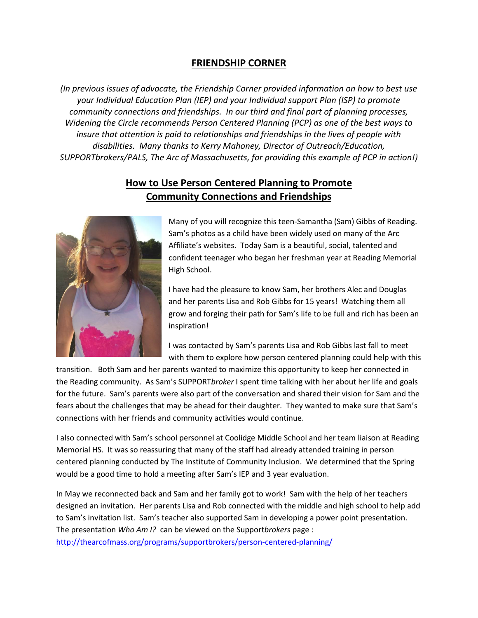## **FRIENDSHIP CORNER**

*(In previous issues of advocate, the Friendship Corner provided information on how to best use your Individual Education Plan (IEP) and your Individual support Plan (ISP) to promote community connections and friendships. In our third and final part of planning processes, Widening the Circle recommends Person Centered Planning (PCP) as one of the best ways to insure that attention is paid to relationships and friendships in the lives of people with disabilities. Many thanks to Kerry Mahoney, Director of Outreach/Education, SUPPORTbrokers/PALS, The Arc of Massachusetts, for providing this example of PCP in action!)*

## **How to Use Person Centered Planning to Promote Community Connections and Friendships**



Many of you will recognize this teen-Samantha (Sam) Gibbs of Reading. Sam's photos as a child have been widely used on many of the Arc Affiliate's websites. Today Sam is a beautiful, social, talented and confident teenager who began her freshman year at Reading Memorial High School.

I have had the pleasure to know Sam, her brothers Alec and Douglas and her parents Lisa and Rob Gibbs for 15 years! Watching them all grow and forging their path for Sam's life to be full and rich has been an inspiration!

I was contacted by Sam's parents Lisa and Rob Gibbs last fall to meet with them to explore how person centered planning could help with this

transition. Both Sam and her parents wanted to maximize this opportunity to keep her connected in the Reading community. As Sam's SUPPORT*broker* I spent time talking with her about her life and goals for the future. Sam's parents were also part of the conversation and shared their vision for Sam and the fears about the challenges that may be ahead for their daughter. They wanted to make sure that Sam's connections with her friends and community activities would continue.

I also connected with Sam's school personnel at Coolidge Middle School and her team liaison at Reading Memorial HS. It was so reassuring that many of the staff had already attended training in person centered planning conducted by The Institute of Community Inclusion. We determined that the Spring would be a good time to hold a meeting after Sam's IEP and 3 year evaluation.

In May we reconnected back and Sam and her family got to work! Sam with the help of her teachers designed an invitation. Her parents Lisa and Rob connected with the middle and high school to help add to Sam's invitation list. Sam's teacher also supported Sam in developing a power point presentation. The presentation *Who Am I?* can be viewed on the Support*brokers* page : <http://thearcofmass.org/programs/supportbrokers/person-centered-planning/>